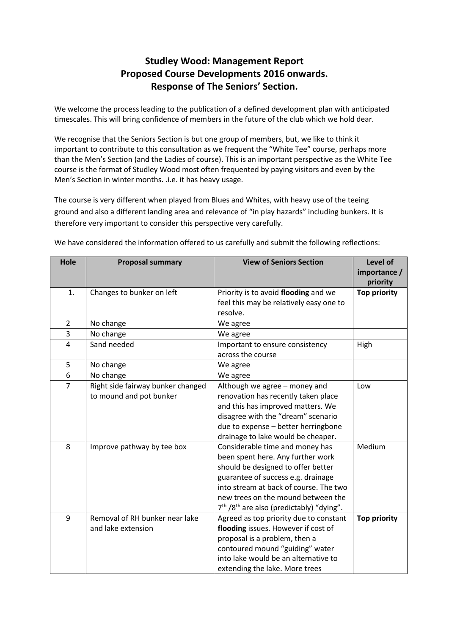# **Studley Wood: Management Report Proposed Course Developments 2016 onwards. Response of The Seniors' Section.**

We welcome the process leading to the publication of a defined development plan with anticipated timescales. This will bring confidence of members in the future of the club which we hold dear.

We recognise that the Seniors Section is but one group of members, but, we like to think it important to contribute to this consultation as we frequent the "White Tee" course, perhaps more than the Men's Section (and the Ladies of course). This is an important perspective as the White Tee course is the format of Studley Wood most often frequented by paying visitors and even by the Men's Section in winter months. .i.e. it has heavy usage.

The course is very different when played from Blues and Whites, with heavy use of the teeing ground and also a different landing area and relevance of "in play hazards" including bunkers. It is therefore very important to consider this perspective very carefully.

| Hole           | <b>Proposal summary</b>           | <b>View of Seniors Section</b>              | Level of            |
|----------------|-----------------------------------|---------------------------------------------|---------------------|
|                |                                   |                                             | importance /        |
|                |                                   |                                             | priority            |
| 1.             | Changes to bunker on left         | Priority is to avoid flooding and we        | <b>Top priority</b> |
|                |                                   | feel this may be relatively easy one to     |                     |
|                |                                   | resolve.                                    |                     |
| $\overline{2}$ | No change                         | We agree                                    |                     |
| 3              | No change                         | We agree                                    |                     |
| 4              | Sand needed                       | Important to ensure consistency             | High                |
|                |                                   | across the course                           |                     |
| 5              | No change                         | We agree                                    |                     |
| 6              | No change                         | We agree                                    |                     |
| $\overline{7}$ | Right side fairway bunker changed | Although we agree - money and               | Low                 |
|                | to mound and pot bunker           | renovation has recently taken place         |                     |
|                |                                   | and this has improved matters. We           |                     |
|                |                                   | disagree with the "dream" scenario          |                     |
|                |                                   | due to expense - better herringbone         |                     |
|                |                                   | drainage to lake would be cheaper.          |                     |
| 8              | Improve pathway by tee box        | Considerable time and money has             | Medium              |
|                |                                   | been spent here. Any further work           |                     |
|                |                                   | should be designed to offer better          |                     |
|                |                                   | guarantee of success e.g. drainage          |                     |
|                |                                   | into stream at back of course. The two      |                     |
|                |                                   | new trees on the mound between the          |                     |
|                |                                   | $7th / 8th$ are also (predictably) "dying". |                     |
| 9              | Removal of RH bunker near lake    | Agreed as top priority due to constant      | <b>Top priority</b> |
|                | and lake extension                | flooding issues. However if cost of         |                     |
|                |                                   | proposal is a problem, then a               |                     |
|                |                                   | contoured mound "guiding" water             |                     |
|                |                                   | into lake would be an alternative to        |                     |
|                |                                   | extending the lake. More trees              |                     |

We have considered the information offered to us carefully and submit the following reflections: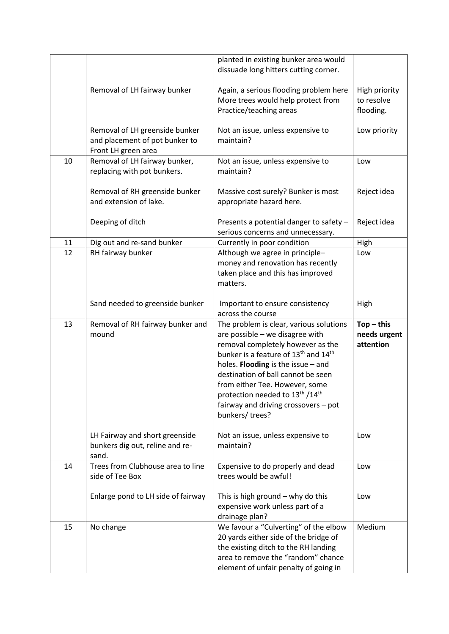|    |                                                                                         | planted in existing bunker area would<br>dissuade long hitters cutting corner.                                                                                                                                                                                                                                                                                                                                     |                                           |
|----|-----------------------------------------------------------------------------------------|--------------------------------------------------------------------------------------------------------------------------------------------------------------------------------------------------------------------------------------------------------------------------------------------------------------------------------------------------------------------------------------------------------------------|-------------------------------------------|
|    | Removal of LH fairway bunker                                                            | Again, a serious flooding problem here<br>More trees would help protect from<br>Practice/teaching areas                                                                                                                                                                                                                                                                                                            | High priority<br>to resolve<br>flooding.  |
|    | Removal of LH greenside bunker<br>and placement of pot bunker to<br>Front LH green area | Not an issue, unless expensive to<br>maintain?                                                                                                                                                                                                                                                                                                                                                                     | Low priority                              |
| 10 | Removal of LH fairway bunker,<br>replacing with pot bunkers.                            | Not an issue, unless expensive to<br>maintain?                                                                                                                                                                                                                                                                                                                                                                     | Low                                       |
|    | Removal of RH greenside bunker<br>and extension of lake.                                | Massive cost surely? Bunker is most<br>appropriate hazard here.                                                                                                                                                                                                                                                                                                                                                    | Reject idea                               |
|    | Deeping of ditch                                                                        | Presents a potential danger to safety -<br>serious concerns and unnecessary.                                                                                                                                                                                                                                                                                                                                       | Reject idea                               |
| 11 | Dig out and re-sand bunker                                                              | Currently in poor condition                                                                                                                                                                                                                                                                                                                                                                                        | High                                      |
| 12 | RH fairway bunker                                                                       | Although we agree in principle-<br>money and renovation has recently<br>taken place and this has improved<br>matters.                                                                                                                                                                                                                                                                                              | Low                                       |
|    | Sand needed to greenside bunker                                                         | Important to ensure consistency<br>across the course                                                                                                                                                                                                                                                                                                                                                               | High                                      |
| 13 | Removal of RH fairway bunker and<br>mound                                               | The problem is clear, various solutions<br>are possible - we disagree with<br>removal completely however as the<br>bunker is a feature of 13 <sup>th</sup> and 14 <sup>th</sup><br>holes. Flooding is the issue - and<br>destination of ball cannot be seen<br>from either Tee. However, some<br>protection needed to 13 <sup>th</sup> /14 <sup>th</sup><br>fairway and driving crossovers - pot<br>bunkers/trees? | $Top - this$<br>needs urgent<br>attention |
|    | LH Fairway and short greenside<br>bunkers dig out, reline and re-<br>sand.              | Not an issue, unless expensive to<br>maintain?                                                                                                                                                                                                                                                                                                                                                                     | Low                                       |
| 14 | Trees from Clubhouse area to line<br>side of Tee Box                                    | Expensive to do properly and dead<br>trees would be awful!                                                                                                                                                                                                                                                                                                                                                         | Low                                       |
|    | Enlarge pond to LH side of fairway                                                      | This is high ground $-$ why do this<br>expensive work unless part of a<br>drainage plan?                                                                                                                                                                                                                                                                                                                           | Low                                       |
| 15 | No change                                                                               | We favour a "Culverting" of the elbow<br>20 yards either side of the bridge of<br>the existing ditch to the RH landing<br>area to remove the "random" chance<br>element of unfair penalty of going in                                                                                                                                                                                                              | Medium                                    |